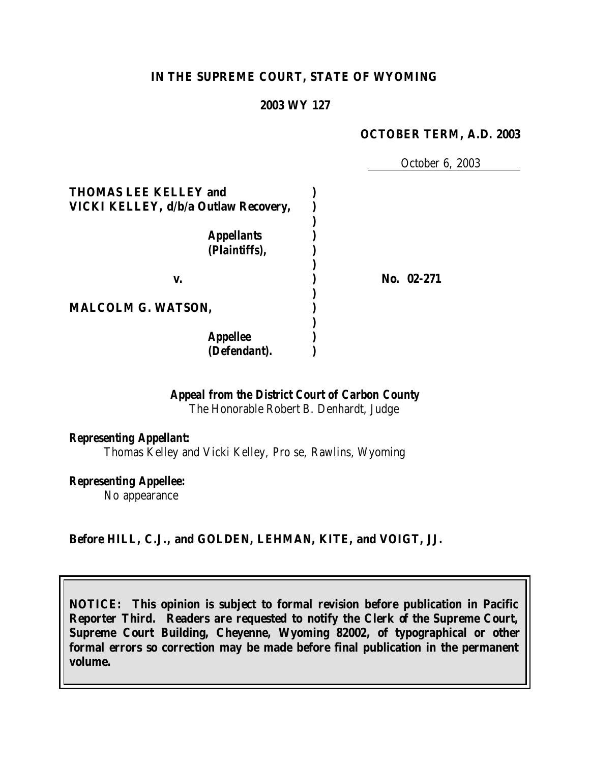### **IN THE SUPREME COURT, STATE OF WYOMING**

#### **2003 WY 127**

#### **OCTOBER TERM, A.D. 2003**

October 6, 2003

| <b>THOMAS LEE KELLEY and</b><br>VICKI KELLEY, d/b/a Outlaw Recovery, |            |
|----------------------------------------------------------------------|------------|
| <b>Appellants</b><br>(Plaintiffs),                                   |            |
| v.                                                                   | No. 02-271 |
| <b>MALCOLM G. WATSON,</b>                                            |            |
| <b>Appellee</b><br>(Defendant).                                      |            |

### *Appeal from the District Court of Carbon County*

The Honorable Robert B. Denhardt, Judge

### *Representing Appellant:*

Thomas Kelley and Vicki Kelley, Pro se, Rawlins, Wyoming

# *Representing Appellee:*

No appearance

### **Before HILL, C.J., and GOLDEN, LEHMAN, KITE, and VOIGT, JJ.**

**NOTICE: This opinion is subject to formal revision before publication in Pacific Reporter Third. Readers are requested to notify the Clerk of the Supreme Court, Supreme Court Building, Cheyenne, Wyoming 82002, of typographical or other formal errors so correction may be made before final publication in the permanent volume.**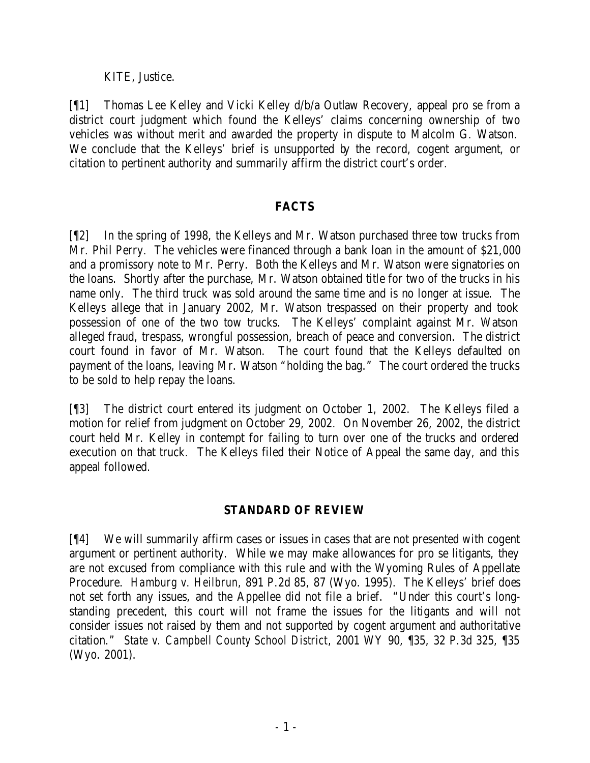## KITE, Justice.

[¶1] Thomas Lee Kelley and Vicki Kelley d/b/a Outlaw Recovery, appeal pro se from a district court judgment which found the Kelleys' claims concerning ownership of two vehicles was without merit and awarded the property in dispute to Malcolm G. Watson. We conclude that the Kelleys' brief is unsupported by the record, cogent argument, or citation to pertinent authority and summarily affirm the district court's order.

## **FACTS**

[¶2] In the spring of 1998, the Kelleys and Mr. Watson purchased three tow trucks from Mr. Phil Perry. The vehicles were financed through a bank loan in the amount of \$21,000 and a promissory note to Mr. Perry. Both the Kelleys and Mr. Watson were signatories on the loans. Shortly after the purchase, Mr. Watson obtained title for two of the trucks in his name only. The third truck was sold around the same time and is no longer at issue. The Kelleys allege that in January 2002, Mr. Watson trespassed on their property and took possession of one of the two tow trucks. The Kelleys' complaint against Mr. Watson alleged fraud, trespass, wrongful possession, breach of peace and conversion. The district court found in favor of Mr. Watson. The court found that the Kelleys defaulted on payment of the loans, leaving Mr. Watson "holding the bag." The court ordered the trucks to be sold to help repay the loans.

[¶3] The district court entered its judgment on October 1, 2002. The Kelleys filed a motion for relief from judgment on October 29, 2002. On November 26, 2002, the district court held Mr. Kelley in contempt for failing to turn over one of the trucks and ordered execution on that truck. The Kelleys filed their Notice of Appeal the same day, and this appeal followed.

## **STANDARD OF REVIEW**

[¶4] We will summarily affirm cases or issues in cases that are not presented with cogent argument or pertinent authority. While we may make allowances for pro se litigants, they are not excused from compliance with this rule and with the Wyoming Rules of Appellate Procedure. *Hamburg v. Heilbrun,* 891 P.2d 85, 87 (Wyo. 1995). The Kelleys' brief does not set forth any issues, and the Appellee did not file a brief. "Under this court's longstanding precedent, this court will not frame the issues for the litigants and will not consider issues not raised by them and not supported by cogent argument and authoritative citation." *State v. Campbell County School District*, 2001 WY 90, ¶35, 32 P.3d 325, ¶35 (Wyo. 2001).